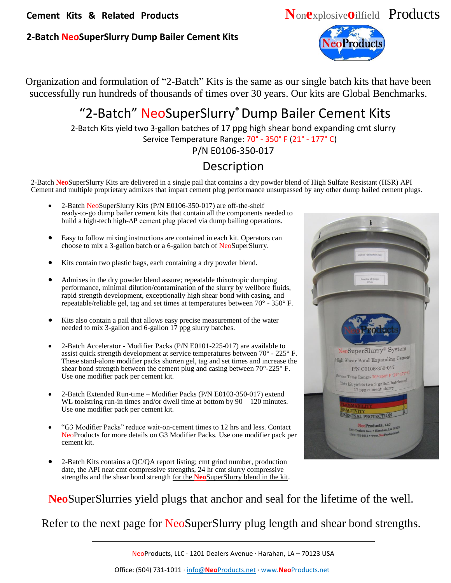#### **2-Batch NeoSuperSlurry Dump Bailer Cement Kits**



Organization and formulation of "2-Batch" Kits is the same as our single batch kits that have been successfully run hundreds of thousands of times over 30 years. Our kits are Global Benchmarks.

# "2-Batch" NeoSuperSlurry®Dump Bailer Cement Kits

2-Batch Kits yield two 3-gallon batches of 17 ppg high shear bond expanding cmt slurry Service Temperature Range: 70° - 350° F (21° - 177° C)

P/N E0106-350-017

## Description

2-Batch **Neo**SuperSlurry Kits are delivered in a single pail that contains a dry powder blend of High Sulfate Resistant (HSR) API Cement and multiple proprietary admixes that impart cement plug performance unsurpassed by any other dump bailed cement plugs.

- 2-Batch NeoSuperSlurry Kits (P/N E0106-350-017) are off-the-shelf ready-to-go dump bailer cement kits that contain all the components needed to build a high-tech high-ΔP cement plug placed via dump bailing operations.
- Easy to follow mixing instructions are contained in each kit. Operators can choose to mix a 3-gallon batch or a 6-gallon batch of NeoSuperSlurry.
- Kits contain two plastic bags, each containing a dry powder blend.
- Admixes in the dry powder blend assure; repeatable thixotropic dumping performance, minimal dilution/contamination of the slurry by wellbore fluids, rapid strength development, exceptionally high shear bond with casing, and repeatable/reliable gel, tag and set times at temperatures between 70° - 350° F.
- Kits also contain a pail that allows easy precise measurement of the water needed to mix 3-gallon and 6-gallon 17 ppg slurry batches.
- 2-Batch Accelerator Modifier Packs (P/N E0101-225-017) are available to assist quick strength development at service temperatures between 70° - 225° F. These stand-alone modifier packs shorten gel, tag and set times and increase the shear bond strength between the cement plug and casing between 70°-225° F. Use one modifier pack per cement kit.
- 2-Batch Extended Run-time Modifier Packs (P/N E0103-350-017) extend WL toolstring run-in times and/or dwell time at bottom by  $90 - 120$  minutes. Use one modifier pack per cement kit.
- "G3 Modifier Packs" reduce wait-on-cement times to 12 hrs and less. Contact NeoProducts for more details on G3 Modifier Packs. Use one modifier pack per cement kit.
- 2-Batch Kits contains a QC/QA report listing; cmt grind number, production date, the API neat cmt compressive strengths, 24 hr cmt slurry compressive strengths and the shear bond strength for the **Neo**SuperSlurry blend in the kit.



**Neo**SuperSlurries yield plugs that anchor and seal for the lifetime of the well.

Refer to the next page for NeoSuperSlurry plug length and shear bond strengths.

NeoProducts, LLC ∙ 1201 Dealers Avenue ∙ Harahan, LA – 70123 USA